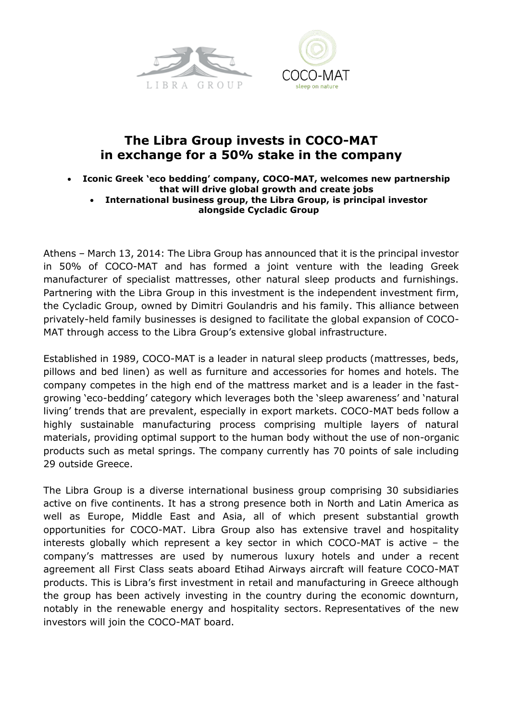



# **The Libra Group invests in COCO-MAT in exchange for a 50% stake in the company**

- **Iconic Greek 'eco bedding' company, COCO-MAT, welcomes new partnership that will drive global growth and create jobs** 
	- **International business group, the Libra Group, is principal investor alongside Cycladic Group**

Athens – March 13, 2014: The Libra Group has announced that it is the principal investor in 50% of COCO-MAT and has formed a joint venture with the leading Greek manufacturer of specialist mattresses, other natural sleep products and furnishings. Partnering with the Libra Group in this investment is the independent investment firm, the Cycladic Group, owned by Dimitri Goulandris and his family. This alliance between privately-held family businesses is designed to facilitate the global expansion of COCO-MAT through access to the Libra Group's extensive global infrastructure.

Established in 1989, COCO-MAT is a leader in natural sleep products (mattresses, beds, pillows and bed linen) as well as furniture and accessories for homes and hotels. The company competes in the high end of the mattress market and is a leader in the fastgrowing 'eco-bedding' category which leverages both the 'sleep awareness' and 'natural living' trends that are prevalent, especially in export markets. COCO-MAT beds follow a highly sustainable manufacturing process comprising multiple layers of natural materials, providing optimal support to the human body without the use of non-organic products such as metal springs. The company currently has 70 points of sale including 29 outside Greece.

The Libra Group is a diverse international business group comprising 30 subsidiaries active on five continents. It has a strong presence both in North and Latin America as well as Europe, Middle East and Asia, all of which present substantial growth opportunities for COCO-MAT. Libra Group also has extensive travel and hospitality interests globally which represent a key sector in which COCO-MAT is active – the company's mattresses are used by numerous luxury hotels and under a recent agreement all First Class seats aboard Etihad Airways aircraft will feature COCO-MAT products. This is Libra's first investment in retail and manufacturing in Greece although the group has been actively investing in the country during the economic downturn, notably in the renewable energy and hospitality sectors. Representatives of the new investors will join the COCO-MAT board.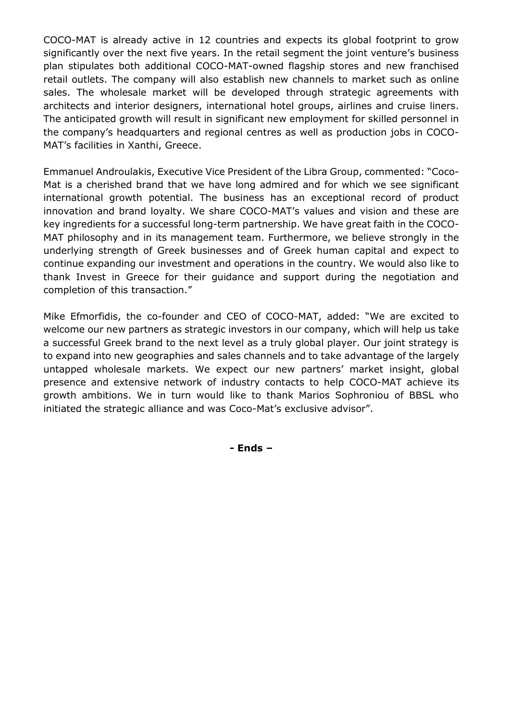COCO-MAT is already active in 12 countries and expects its global footprint to grow significantly over the next five years. In the retail segment the joint venture's business plan stipulates both additional COCO-MAT-owned flagship stores and new franchised retail outlets. The company will also establish new channels to market such as online sales. The wholesale market will be developed through strategic agreements with architects and interior designers, international hotel groups, airlines and cruise liners. The anticipated growth will result in significant new employment for skilled personnel in the company's headquarters and regional centres as well as production jobs in COCO-MAT's facilities in Xanthi, Greece.

Emmanuel Androulakis, Executive Vice President of the Libra Group, commented: "Coco-Mat is a cherished brand that we have long admired and for which we see significant international growth potential. The business has an exceptional record of product innovation and brand loyalty. We share COCO-MAT's values and vision and these are key ingredients for a successful long-term partnership. We have great faith in the COCO-MAT philosophy and in its management team. Furthermore, we believe strongly in the underlying strength of Greek businesses and of Greek human capital and expect to continue expanding our investment and operations in the country. We would also like to thank Invest in Greece for their guidance and support during the negotiation and completion of this transaction."

Mike Efmorfidis, the co-founder and CEO of COCO-MAT, added: "We are excited to welcome our new partners as strategic investors in our company, which will help us take a successful Greek brand to the next level as a truly global player. Our joint strategy is to expand into new geographies and sales channels and to take advantage of the largely untapped wholesale markets. We expect our new partners' market insight, global presence and extensive network of industry contacts to help COCO-MAT achieve its growth ambitions. We in turn would like to thank Marios Sophroniou of BBSL who initiated the strategic alliance and was Coco-Mat's exclusive advisor".

**- Ends –**